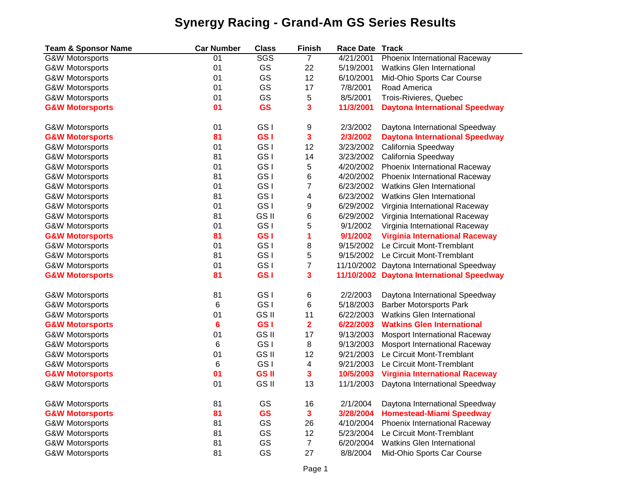## **Synergy Racing - Grand-Am GS Series Results**

| <b>Team &amp; Sponsor Name</b> | <b>Car Number</b> | <b>Class</b>    | <b>Finish</b>            | <b>Race Date</b> | <b>Track</b>                              |  |
|--------------------------------|-------------------|-----------------|--------------------------|------------------|-------------------------------------------|--|
| <b>G&amp;W Motorsports</b>     | 01                | <b>SGS</b>      | $\overline{7}$           | 4/21/2001        | Phoenix International Raceway             |  |
| <b>G&amp;W Motorsports</b>     | 01                | GS              | 22                       | 5/19/2001        | <b>Watkins Glen International</b>         |  |
| <b>G&amp;W Motorsports</b>     | 01                | GS              | 12                       | 6/10/2001        | Mid-Ohio Sports Car Course                |  |
| <b>G&amp;W Motorsports</b>     | 01                | GS              | 17                       | 7/8/2001         | Road America                              |  |
| <b>G&amp;W Motorsports</b>     | 01                | GS              | 5                        | 8/5/2001         | Trois-Rivieres, Quebec                    |  |
| <b>G&amp;W Motorsports</b>     | 01                | <b>GS</b>       | 3                        | 11/3/2001        | <b>Daytona International Speedway</b>     |  |
| <b>G&amp;W Motorsports</b>     | 01                | GS I            | 9                        | 2/3/2002         | Daytona International Speedway            |  |
| <b>G&amp;W Motorsports</b>     | 81                | GS <sub>I</sub> | 3                        | 2/3/2002         | <b>Daytona International Speedway</b>     |  |
| <b>G&amp;W Motorsports</b>     | 01                | GS <sub>I</sub> | 12                       | 3/23/2002        | California Speedway                       |  |
| <b>G&amp;W Motorsports</b>     | 81                | GS <sub>I</sub> | 14                       | 3/23/2002        | California Speedway                       |  |
| <b>G&amp;W Motorsports</b>     | 01                | GS <sub>I</sub> | 5                        | 4/20/2002        | Phoenix International Raceway             |  |
| <b>G&amp;W Motorsports</b>     | 81                | GS <sub>I</sub> | $\,6$                    | 4/20/2002        | Phoenix International Raceway             |  |
| <b>G&amp;W Motorsports</b>     | 01                | GS <sub>I</sub> | $\overline{\mathbf{7}}$  | 6/23/2002        | <b>Watkins Glen International</b>         |  |
| <b>G&amp;W Motorsports</b>     | 81                | GS <sub>I</sub> | 4                        | 6/23/2002        | <b>Watkins Glen International</b>         |  |
| <b>G&amp;W Motorsports</b>     | 01                | GS I            | 9                        | 6/29/2002        | Virginia International Raceway            |  |
| <b>G&amp;W Motorsports</b>     | 81                | GS II           | 6                        | 6/29/2002        | Virginia International Raceway            |  |
| <b>G&amp;W Motorsports</b>     | 01                | GS <sub>I</sub> | 5                        | 9/1/2002         | Virginia International Raceway            |  |
| <b>G&amp;W Motorsports</b>     | 81                | GS <sub>I</sub> | 1                        | 9/1/2002         | <b>Virginia International Raceway</b>     |  |
| <b>G&amp;W Motorsports</b>     | 01                | GS <sub>I</sub> | 8                        | 9/15/2002        | Le Circuit Mont-Tremblant                 |  |
| <b>G&amp;W Motorsports</b>     | 81                | GS <sub>I</sub> | 5                        | 9/15/2002        | Le Circuit Mont-Tremblant                 |  |
| <b>G&amp;W Motorsports</b>     | 01                | GS <sub>I</sub> | $\overline{\mathcal{I}}$ |                  | 11/10/2002 Daytona International Speedway |  |
| <b>G&amp;W Motorsports</b>     | 81                | GS <sub>I</sub> | 3                        |                  | 11/10/2002 Daytona International Speedway |  |
| <b>G&amp;W Motorsports</b>     | 81                | GS <sub>I</sub> | 6                        | 2/2/2003         | Daytona International Speedway            |  |
| <b>G&amp;W Motorsports</b>     | 6                 | GS <sub>I</sub> | 6                        | 5/18/2003        | <b>Barber Motorsports Park</b>            |  |
| <b>G&amp;W Motorsports</b>     | 01                | GS II           | 11                       | 6/22/2003        | <b>Watkins Glen International</b>         |  |
| <b>G&amp;W Motorsports</b>     | $6\phantom{1}6$   | GS <sub>I</sub> | $\overline{\mathbf{2}}$  | 6/22/2003        | <b>Watkins Glen International</b>         |  |
| <b>G&amp;W Motorsports</b>     | 01                | GS II           | 17                       | 9/13/2003        | Mosport International Raceway             |  |
| <b>G&amp;W Motorsports</b>     | 6                 | GS <sub>I</sub> | 8                        | 9/13/2003        | Mosport International Raceway             |  |
| <b>G&amp;W Motorsports</b>     | 01                | GS II           | 12                       | 9/21/2003        | Le Circuit Mont-Tremblant                 |  |
| <b>G&amp;W Motorsports</b>     | 6                 | GS <sub>I</sub> | 4                        | 9/21/2003        | Le Circuit Mont-Tremblant                 |  |
| <b>G&amp;W Motorsports</b>     | 01                | GS II           | 3                        | 10/5/2003        | <b>Virginia International Raceway</b>     |  |
| <b>G&amp;W Motorsports</b>     | 01                | <b>GSII</b>     | 13                       | 11/1/2003        | Daytona International Speedway            |  |
| <b>G&amp;W Motorsports</b>     | 81                | GS              | 16                       | 2/1/2004         | Daytona International Speedway            |  |
| <b>G&amp;W Motorsports</b>     | 81                | <b>GS</b>       | $\mathbf{3}$             | 3/28/2004        | <b>Homestead-Miami Speedway</b>           |  |
| <b>G&amp;W Motorsports</b>     | 81                | GS              | 26                       | 4/10/2004        | Phoenix International Raceway             |  |
| <b>G&amp;W Motorsports</b>     | 81                | GS              | 12                       | 5/23/2004        | Le Circuit Mont-Tremblant                 |  |
| <b>G&amp;W Motorsports</b>     | 81                | GS              | $\boldsymbol{7}$         | 6/20/2004        | <b>Watkins Glen International</b>         |  |
| <b>G&amp;W Motorsports</b>     | 81                | GS              | 27                       | 8/8/2004         | Mid-Ohio Sports Car Course                |  |
|                                |                   |                 |                          |                  |                                           |  |